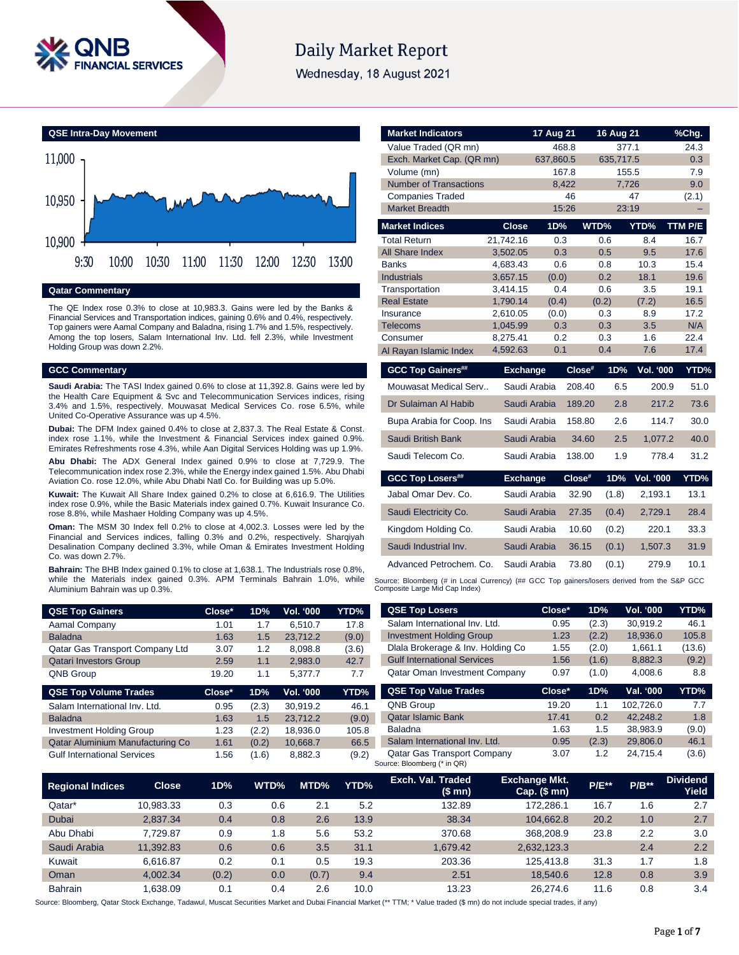

# **Daily Market Report**

Wednesday, 18 August 2021

**QSE Intra-Day Movement**



**Qatar Commentary**

The QE Index rose 0.3% to close at 10,983.3. Gains were led by the Banks & Financial Services and Transportation indices, gaining 0.6% and 0.4%, respectively. Top gainers were Aamal Company and Baladna, rising 1.7% and 1.5%, respectively. Among the top losers, Salam International Inv. Ltd. fell 2.3%, while Investment Holding Group was down 2.2%.

### **GCC Commentary**

**Saudi Arabia:** The TASI Index gained 0.6% to close at 11,392.8. Gains were led by the Health Care Equipment & Svc and Telecommunication Services indices, rising 3.4% and 1.5%, respectively. Mouwasat Medical Services Co. rose 6.5%, while United Co-Operative Assurance was up 4.5%.

**Dubai:** The DFM Index gained 0.4% to close at 2,837.3. The Real Estate & Const. index rose 1.1%, while the Investment & Financial Services index gained 0.9%. Emirates Refreshments rose 4.3%, while Aan Digital Services Holding was up 1.9%.

**Abu Dhabi:** The ADX General Index gained 0.9% to close at 7,729.9. The Telecommunication index rose 2.3%, while the Energy index gained 1.5%. Abu Dhabi Aviation Co. rose 12.0%, while Abu Dhabi Natl Co. for Building was up 5.0%.

**Kuwait:** The Kuwait All Share Index gained 0.2% to close at 6,616.9. The Utilities index rose 0.9%, while the Basic Materials index gained 0.7%. Kuwait Insurance Co. rose 8.8%, while Mashaer Holding Company was up 4.5%.

**Oman:** The MSM 30 Index fell 0.2% to close at 4,002.3. Losses were led by the Financial and Services indices, falling 0.3% and 0.2%, respectively. Sharqiyah Desalination Company declined 3.3%, while Oman & Emirates Investment Holding Co. was down 2.7%.

**Bahrain:** The BHB Index gained 0.1% to close at 1,638.1. The Industrials rose 0.8%, while the Materials index gained 0.3%. APM Terminals Bahrain 1.0%, while Aluminium Bahrain was up 0.3%.

| <b>QSE Top Gainers</b>                 | Close* | 1D%   | Vol. '000 | <b>YTD%</b> |
|----------------------------------------|--------|-------|-----------|-------------|
| Aamal Company                          | 1.01   | 1.7   | 6,510.7   | 17.8        |
| <b>Baladna</b>                         | 1.63   | 1.5   | 23.712.2  | (9.0)       |
| <b>Qatar Gas Transport Company Ltd</b> | 3.07   | 1.2   | 8,098.8   | (3.6)       |
| <b>Qatari Investors Group</b>          | 2.59   | 1.1   | 2.983.0   | 42.7        |
| <b>QNB Group</b>                       | 19.20  | 1.1   | 5,377.7   | 7.7         |
|                                        |        |       |           |             |
| <b>QSE Top Volume Trades</b>           | Close* | 1D%   | Vol. '000 | YTD%        |
| Salam International Inv. Ltd.          | 0.95   | (2.3) | 30.919.2  | 46.1        |
| <b>Baladna</b>                         | 1.63   | 1.5   | 23.712.2  | (9.0)       |
| <b>Investment Holding Group</b>        | 1.23   | (2.2) | 18,936.0  | 105.8       |

Gulf International Services 1.56 (1.6) 8,882.3

| Value Traded (QR mn)          |                 | 468.8     |        | 377.1                   | 24.3            |
|-------------------------------|-----------------|-----------|--------|-------------------------|-----------------|
| Exch. Market Cap. (QR mn)     |                 | 637,860.5 |        | 635,717.5               | 0.3             |
| Volume (mn)                   |                 | 167.8     |        | 155.5                   | 7.9             |
| <b>Number of Transactions</b> |                 | 8,422     |        | 7,726                   | 9.0             |
| <b>Companies Traded</b>       |                 | 46        |        | 47                      | (2.1)           |
| <b>Market Breadth</b>         |                 | 15:26     |        | 23:19                   |                 |
| <b>Market Indices</b>         | <b>Close</b>    | 1D%       | WTD%   | YTD%                    | TTM P/E         |
| <b>Total Return</b>           | 21,742.16       | 0.3       | 0.6    | 8.4                     | 16.7            |
| <b>All Share Index</b>        | 3,502.05        | 0.3       | 0.5    | 9.5                     | 17.6            |
| <b>Banks</b>                  | 4.683.43        | 0.6       | 0.8    | 10.3                    | 15.4            |
| <b>Industrials</b>            | 3,657.15        | (0.0)     | 0.2    | 18.1                    | 19.6            |
| Transportation                | 3,414.15        | 0.4       | 0.6    | 3.5                     | 19.1            |
| <b>Real Estate</b>            | 1,790.14        | (0.4)     | (0.2)  | (7.2)                   | 16.5            |
| Insurance                     | 2.610.05        | (0.0)     | 0.3    | 8.9                     | 17.2            |
| <b>Telecoms</b>               | 1,045.99        | 0.3       | 0.3    | 3.5                     | N/A             |
| Consumer                      | 8,275.41        | 0.2       | 0.3    | 1.6                     | 22.4            |
| Al Rayan Islamic Index        | 4,592.63        | 0.1       | 0.4    | 7.6                     | 17.4            |
| <b>GCC Top Gainers##</b>      | <b>Exchange</b> |           | Close# | Vol. '000<br>1D%        | YTD%            |
| Mouwasat Medical Serv         | Saudi Arabia    |           | 208.40 | 6.5                     | 200.9<br>51.0   |
| Dr Sulaiman Al Habib          | Saudi Arabia    |           | 189.20 | 2.8                     | 73.6<br>217.2   |
| Bupa Arabia for Coop. Ins     | Saudi Arabia    |           | 158.80 | 2.6                     | 30.0<br>114.7   |
| Saudi British Bank            | Saudi Arabia    |           | 34.60  | 2.5                     | 1,077.2<br>40.0 |
| Saudi Telecom Co.             | Saudi Arabia    |           | 138.00 | 1.9                     | 778.4<br>31.2   |
| <b>GCC Top Losers##</b>       | <b>Exchange</b> |           | Close# | <b>Vol. '000</b><br>1D% | YTD%            |
| Jabal Omar Dev. Co.           | Saudi Arabia    |           | 32.90  | (1.8)<br>2,193.1        | 13.1            |
|                               |                 |           |        |                         |                 |

**Market Indicators 17 Aug 21 16 Aug 21 %Chg.**

| Jabal Omar Dev. Co.                  | Saudi Arabia 32.90 (1.8) 2.193.1 |       |       |         | 13.1 |
|--------------------------------------|----------------------------------|-------|-------|---------|------|
| Saudi Electricity Co.                | Saudi Arabia 27.35               |       | (0.4) | 2,729.1 | 28.4 |
| Kingdom Holding Co.                  | Saudi Arabia                     | 10.60 | (0.2) | 220.1   | 33.3 |
| Saudi Industrial Inv.                | Saudi Arabia                     | 36.15 | (0.1) | 1,507.3 | 31.9 |
| Advanced Petrochem. Co. Saudi Arabia |                                  | 73.80 | (0.1) | 279.9   | 10.1 |

Source: Bloomberg (# in Local Currency) (## GCC Top gainers/losers derived from the S&P GCC<br>Composite Large Mid Cap Index)

| %                                 | <b>QSE Top Losers</b>                | Close* | 1D%   | <b>Vol. '000</b> | YTD%        |
|-----------------------------------|--------------------------------------|--------|-------|------------------|-------------|
| 8.5                               | Salam International Inv. Ltd.        | 0.95   | (2.3) | 30.919.2         | 46.1        |
| (0,                               | <b>Investment Holding Group</b>      | 1.23   | (2.2) | 18,936.0         | 105.8       |
| .6)                               | Dlala Brokerage & Inv. Holding Co    | 1.55   | (2.0) | 1.661.1          | (13.6)      |
| 2.7                               | <b>Gulf International Services</b>   | 1.56   | (1.6) | 8,882.3          | (9.2)       |
| $^{\prime}$ .7                    | <b>Qatar Oman Investment Company</b> | 0.97   | (1.0) | 4,008.6          | 8.8         |
|                                   |                                      |        |       |                  |             |
|                                   | <b>QSE Top Value Trades</b>          | Close* | 1D%   | Val. '000        | <b>YTD%</b> |
|                                   | <b>QNB Group</b>                     | 19.20  | 1.1   | 102,726.0        | 7.7         |
|                                   | <b>Qatar Islamic Bank</b>            | 17.41  | 0.2   | 42,248.2         | 1.8         |
|                                   | <b>Baladna</b>                       | 1.63   | 1.5   | 38,983.9         | (9.0)       |
| D%<br>16.1<br>9.0)<br>15.8<br>6.5 | Salam International Inv. Ltd.        | 0.95   | (2.3) | 29,806.0         | 46.1        |

| <b>Regional Indices</b> | <b>Close</b> | 1D%   | WTD% | MTD%  | YTD% | Exch. Val. Traded<br>(\$ mn) | <b>Exchange Mkt.</b><br>$Cap.$ (\$ mn) | <b>P/E**</b> | $P/B***$ | <b>Dividend</b><br>Yield |
|-------------------------|--------------|-------|------|-------|------|------------------------------|----------------------------------------|--------------|----------|--------------------------|
| Qatar*                  | 10.983.33    | 0.3   | 0.6  | 2.1   | 5.2  | 132.89                       | 172.286.1                              | 16.7         | 1.6      | 2.7                      |
| <b>Dubai</b>            | 2.837.34     | 0.4   | 0.8  | 2.6   | 13.9 | 38.34                        | 104.662.8                              | 20.2         | 1.0      | 2.7                      |
| Abu Dhabi               | 7.729.87     | 0.9   | 1.8  | 5.6   | 53.2 | 370.68                       | 368,208.9                              | 23.8         | 2.2      | 3.0                      |
| Saudi Arabia            | 11.392.83    | 0.6   | 0.6  | 3.5   | 31.1 | 1.679.42                     | 2.632.123.3                            |              | 2.4      | 2.2                      |
| Kuwait                  | 6.616.87     | 0.2   | 0.1  | 0.5   | 19.3 | 203.36                       | 125.413.8                              | 31.3         | 1.7      | 1.8                      |
| Oman                    | 4.002.34     | (0.2) | 0.0  | (0.7) | 9.4  | 2.51                         | 18.540.6                               | 12.8         | 0.8      | 3.9                      |
| <b>Bahrain</b>          | .638.09      | 0.1   | 0.4  | 2.6   | 10.0 | 13.23                        | 26.274.6                               | 11.6         | 0.8      | 3.4                      |

Source: Bloomberg, Qatar Stock Exchange, Tadawul, Muscat Securities Market and Dubai Financial Market (\*\* TTM; \* Value traded (\$ mn) do not include special trades, if any)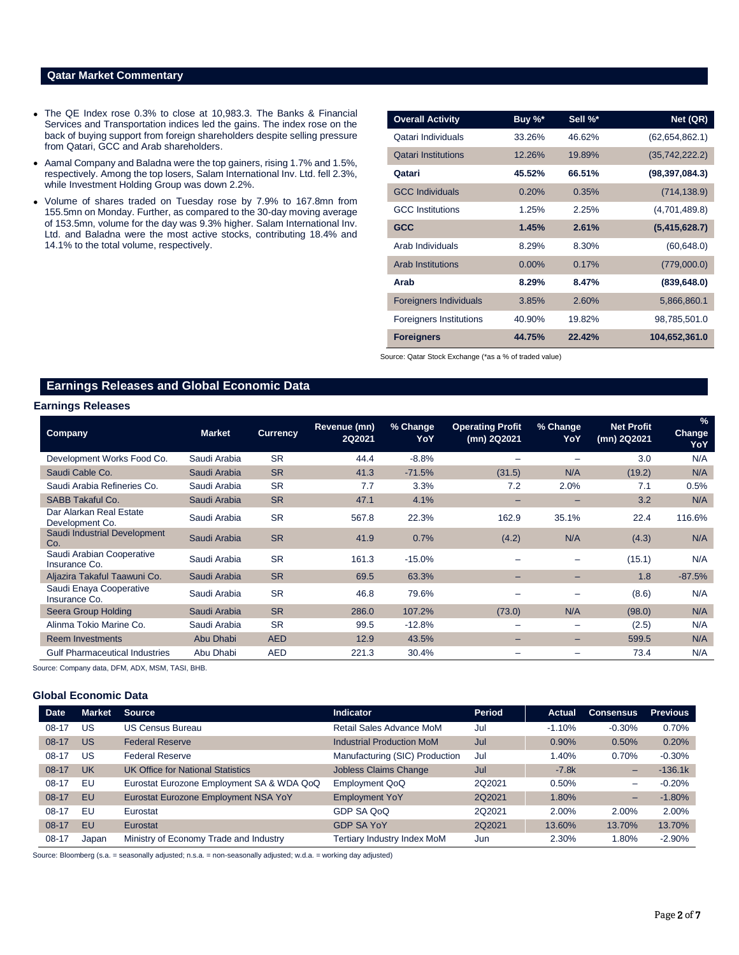## **Qatar Market Commentary**

- The QE Index rose 0.3% to close at 10,983.3. The Banks & Financial Services and Transportation indices led the gains. The index rose on the back of buying support from foreign shareholders despite selling pressure from Qatari, GCC and Arab shareholders.
- Aamal Company and Baladna were the top gainers, rising 1.7% and 1.5%, respectively. Among the top losers, Salam International Inv. Ltd. fell 2.3%, while Investment Holding Group was down 2.2%.
- Volume of shares traded on Tuesday rose by 7.9% to 167.8mn from 155.5mn on Monday. Further, as compared to the 30-day moving average of 153.5mn, volume for the day was 9.3% higher. Salam International Inv. Ltd. and Baladna were the most active stocks, contributing 18.4% and 14.1% to the total volume, respectively.

| <b>Overall Activity</b>        | Buy %*   | Sell %* | Net (QR)         |
|--------------------------------|----------|---------|------------------|
| Qatari Individuals             | 33.26%   | 46.62%  | (62,654,862.1)   |
| <b>Oatari Institutions</b>     | 12.26%   | 19.89%  | (35,742,222.2)   |
| Qatari                         | 45.52%   | 66.51%  | (98, 397, 084.3) |
| <b>GCC Individuals</b>         | 0.20%    | 0.35%   | (714, 138.9)     |
| <b>GCC</b> Institutions        | 1.25%    | 2.25%   | (4,701,489.8)    |
| <b>GCC</b>                     | 1.45%    | 2.61%   | (5,415,628.7)    |
| Arab Individuals               | 8.29%    | 8.30%   | (60, 648.0)      |
| <b>Arab Institutions</b>       | $0.00\%$ | 0.17%   | (779,000.0)      |
| Arab                           | 8.29%    | 8.47%   | (839, 648.0)     |
| <b>Foreigners Individuals</b>  | 3.85%    | 2.60%   | 5,866,860.1      |
| <b>Foreigners Institutions</b> | 40.90%   | 19.82%  | 98,785,501.0     |
| <b>Foreigners</b>              | 44.75%   | 22.42%  | 104,652,361.0    |

Source: Qatar Stock Exchange (\*as a % of traded value)

## **Earnings Releases and Global Economic Data**

### **Earnings Releases**

| <b>Company</b>                             | <b>Market</b> | <b>Currency</b> | Revenue (mn)<br>2Q2021 | % Change<br>YoY | <b>Operating Profit</b><br>(mn) 2Q2021 | % Change<br>YoY          | <b>Net Profit</b><br>(mn) 2Q2021 | %<br><b>Change</b><br>YoY |
|--------------------------------------------|---------------|-----------------|------------------------|-----------------|----------------------------------------|--------------------------|----------------------------------|---------------------------|
| Development Works Food Co.                 | Saudi Arabia  | <b>SR</b>       | 44.4                   | $-8.8%$         |                                        |                          | 3.0                              | N/A                       |
| Saudi Cable Co.                            | Saudi Arabia  | <b>SR</b>       | 41.3                   | $-71.5%$        | (31.5)                                 | N/A                      | (19.2)                           | N/A                       |
| Saudi Arabia Refineries Co.                | Saudi Arabia  | <b>SR</b>       | 7.7                    | 3.3%            | 7.2                                    | 2.0%                     | 7.1                              | 0.5%                      |
| <b>SABB Takaful Co.</b>                    | Saudi Arabia  | <b>SR</b>       | 47.1                   | 4.1%            | -                                      | -                        | 3.2                              | N/A                       |
| Dar Alarkan Real Estate<br>Development Co. | Saudi Arabia  | <b>SR</b>       | 567.8                  | 22.3%           | 162.9                                  | 35.1%                    | 22.4                             | 116.6%                    |
| Saudi Industrial Development<br>Co.        | Saudi Arabia  | <b>SR</b>       | 41.9                   | 0.7%            | (4.2)                                  | N/A                      | (4.3)                            | N/A                       |
| Saudi Arabian Cooperative<br>Insurance Co. | Saudi Arabia  | <b>SR</b>       | 161.3                  | $-15.0%$        |                                        |                          | (15.1)                           | N/A                       |
| Aljazira Takaful Taawuni Co.               | Saudi Arabia  | <b>SR</b>       | 69.5                   | 63.3%           | =                                      | -                        | 1.8                              | $-87.5%$                  |
| Saudi Enaya Cooperative<br>Insurance Co.   | Saudi Arabia  | <b>SR</b>       | 46.8                   | 79.6%           |                                        |                          | (8.6)                            | N/A                       |
| Seera Group Holding                        | Saudi Arabia  | <b>SR</b>       | 286.0                  | 107.2%          | (73.0)                                 | N/A                      | (98.0)                           | N/A                       |
| Alinma Tokio Marine Co.                    | Saudi Arabia  | <b>SR</b>       | 99.5                   | $-12.8%$        | -                                      | $\overline{\phantom{0}}$ | (2.5)                            | N/A                       |
| <b>Reem Investments</b>                    | Abu Dhabi     | <b>AED</b>      | 12.9                   | 43.5%           | -                                      | -                        | 599.5                            | N/A                       |
| <b>Gulf Pharmaceutical Industries</b>      | Abu Dhabi     | <b>AED</b>      | 221.3                  | 30.4%           |                                        |                          | 73.4                             | N/A                       |

Source: Company data, DFM, ADX, MSM, TASI, BHB.

### **Global Economic Data**

| <b>Date</b> | Market    | <b>Source</b>                             | <b>Indicator</b>                 | Period | Actual   | <b>Consensus</b>         | <b>Previous</b> |
|-------------|-----------|-------------------------------------------|----------------------------------|--------|----------|--------------------------|-----------------|
| $08 - 17$   | US        | <b>US Census Bureau</b>                   | Retail Sales Advance MoM         | Jul    | $-1.10%$ | $-0.30%$                 | 0.70%           |
| 08-17       | <b>US</b> | <b>Federal Reserve</b>                    | <b>Industrial Production MoM</b> | Jul    | 0.90%    | 0.50%                    | 0.20%           |
| $08-17$     | US        | <b>Federal Reserve</b>                    | Manufacturing (SIC) Production   | Jul    | 1.40%    | 0.70%                    | $-0.30%$        |
| $08-17$     | <b>UK</b> | <b>UK Office for National Statistics</b>  | <b>Jobless Claims Change</b>     | Jul    | $-7.8k$  | -                        | $-136.1k$       |
| $08-17$     | EU        | Eurostat Eurozone Employment SA & WDA QoQ | <b>Employment QoQ</b>            | 2Q2021 | 0.50%    | $\overline{\phantom{0}}$ | $-0.20%$        |
| $08-17$     | <b>EU</b> | Eurostat Eurozone Employment NSA YoY      | <b>Employment YoY</b>            | 2Q2021 | 1.80%    | -                        | $-1.80%$        |
| $08-17$     | EU        | Eurostat                                  | GDP SA QoQ                       | 2Q2021 | 2.00%    | 2.00%                    | 2.00%           |
| $08-17$     | EU        | Eurostat                                  | <b>GDP SA YoY</b>                | 2Q2021 | 13.60%   | 13.70%                   | 13.70%          |
| 08-17       | Japan     | Ministry of Economy Trade and Industry    | Tertiary Industry Index MoM      | Jun    | 2.30%    | 1.80%                    | $-2.90%$        |

Source: Bloomberg (s.a. = seasonally adjusted; n.s.a. = non-seasonally adjusted; w.d.a. = working day adjusted)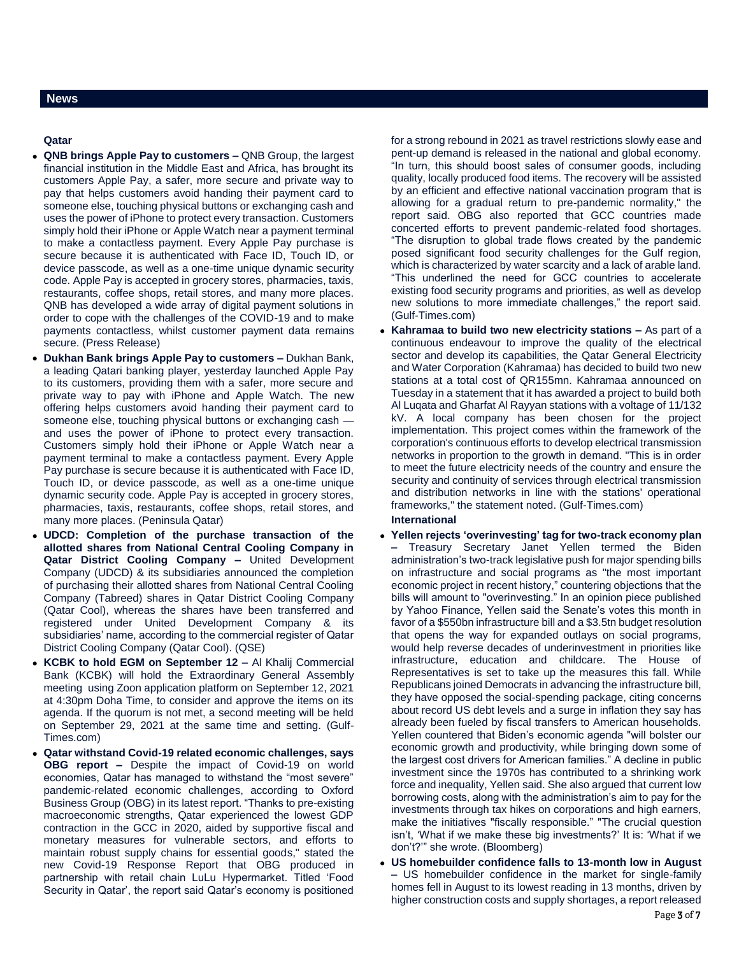### **Qatar**

- **QNB brings Apple Pay to customers –** QNB Group, the largest financial institution in the Middle East and Africa, has brought its customers Apple Pay, a safer, more secure and private way to pay that helps customers avoid handing their payment card to someone else, touching physical buttons or exchanging cash and uses the power of iPhone to protect every transaction. Customers simply hold their iPhone or Apple Watch near a payment terminal to make a contactless payment. Every Apple Pay purchase is secure because it is authenticated with Face ID, Touch ID, or device passcode, as well as a one-time unique dynamic security code. Apple Pay is accepted in grocery stores, pharmacies, taxis, restaurants, coffee shops, retail stores, and many more places. QNB has developed a wide array of digital payment solutions in order to cope with the challenges of the COVID-19 and to make payments contactless, whilst customer payment data remains secure. (Press Release)
- **Dukhan Bank brings Apple Pay to customers –** Dukhan Bank, a leading Qatari banking player, yesterday launched Apple Pay to its customers, providing them with a safer, more secure and private way to pay with iPhone and Apple Watch. The new offering helps customers avoid handing their payment card to someone else, touching physical buttons or exchanging cash and uses the power of iPhone to protect every transaction. Customers simply hold their iPhone or Apple Watch near a payment terminal to make a contactless payment. Every Apple Pay purchase is secure because it is authenticated with Face ID, Touch ID, or device passcode, as well as a one-time unique dynamic security code. Apple Pay is accepted in grocery stores, pharmacies, taxis, restaurants, coffee shops, retail stores, and many more places. (Peninsula Qatar)
- **UDCD: Completion of the purchase transaction of the allotted shares from National Central Cooling Company in Qatar District Cooling Company –** United Development Company (UDCD) & its subsidiaries announced the completion of purchasing their allotted shares from National Central Cooling Company (Tabreed) shares in Qatar District Cooling Company (Qatar Cool), whereas the shares have been transferred and registered under United Development Company & its subsidiaries' name, according to the commercial register of Qatar District Cooling Company (Qatar Cool). (QSE)
- **KCBK to hold EGM on September 12 –** Al Khalij Commercial Bank (KCBK) will hold the Extraordinary General Assembly meeting using Zoon application platform on September 12, 2021 at 4:30pm Doha Time, to consider and approve the items on its agenda. If the quorum is not met, a second meeting will be held on September 29, 2021 at the same time and setting. (Gulf-Times.com)
- **Qatar withstand Covid-19 related economic challenges, says OBG report –** Despite the impact of Covid-19 on world economies, Qatar has managed to withstand the "most severe" pandemic-related economic challenges, according to Oxford Business Group (OBG) in its latest report. "Thanks to pre-existing macroeconomic strengths, Qatar experienced the lowest GDP contraction in the GCC in 2020, aided by supportive fiscal and monetary measures for vulnerable sectors, and efforts to maintain robust supply chains for essential goods," stated the new Covid-19 Response Report that OBG produced in partnership with retail chain LuLu Hypermarket. Titled 'Food Security in Qatar', the report said Qatar's economy is positioned

for a strong rebound in 2021 as travel restrictions slowly ease and pent-up demand is released in the national and global economy. "In turn, this should boost sales of consumer goods, including quality, locally produced food items. The recovery will be assisted by an efficient and effective national vaccination program that is allowing for a gradual return to pre-pandemic normality," the report said. OBG also reported that GCC countries made concerted efforts to prevent pandemic-related food shortages. "The disruption to global trade flows created by the pandemic posed significant food security challenges for the Gulf region, which is characterized by water scarcity and a lack of arable land. "This underlined the need for GCC countries to accelerate existing food security programs and priorities, as well as develop new solutions to more immediate challenges," the report said. (Gulf-Times.com)

- **Kahramaa to build two new electricity stations –** As part of a continuous endeavour to improve the quality of the electrical sector and develop its capabilities, the Qatar General Electricity and Water Corporation (Kahramaa) has decided to build two new stations at a total cost of QR155mn. Kahramaa announced on Tuesday in a statement that it has awarded a project to build both Al Luqata and Gharfat Al Rayyan stations with a voltage of 11/132 kV. A local company has been chosen for the project implementation. This project comes within the framework of the corporation's continuous efforts to develop electrical transmission networks in proportion to the growth in demand. "This is in order to meet the future electricity needs of the country and ensure the security and continuity of services through electrical transmission and distribution networks in line with the stations' operational frameworks," the statement noted. (Gulf-Times.com) **International**
- **Yellen rejects 'overinvesting' tag for two-track economy plan –** Treasury Secretary Janet Yellen termed the Biden administration's two-track legislative push for major spending bills on infrastructure and social programs as "the most important economic project in recent history," countering objections that the bills will amount to "overinvesting." In an opinion piece published by Yahoo Finance, Yellen said the Senate's votes this month in favor of a \$550bn infrastructure bill and a \$3.5tn budget resolution that opens the way for expanded outlays on social programs, would help reverse decades of underinvestment in priorities like infrastructure, education and childcare. The House of Representatives is set to take up the measures this fall. While Republicans joined Democrats in advancing the infrastructure bill, they have opposed the social-spending package, citing concerns about record US debt levels and a surge in inflation they say has already been fueled by fiscal transfers to American households. Yellen countered that Biden's economic agenda "will bolster our economic growth and productivity, while bringing down some of the largest cost drivers for American families." A decline in public investment since the 1970s has contributed to a shrinking work force and inequality, Yellen said. She also argued that current low borrowing costs, along with the administration's aim to pay for the investments through tax hikes on corporations and high earners, make the initiatives "fiscally responsible." "The crucial question isn't, 'What if we make these big investments?' It is: 'What if we don't?'" she wrote. (Bloomberg)
- **US homebuilder confidence falls to 13-month low in August –** US homebuilder confidence in the market for single-family homes fell in August to its lowest reading in 13 months, driven by higher construction costs and supply shortages, a report released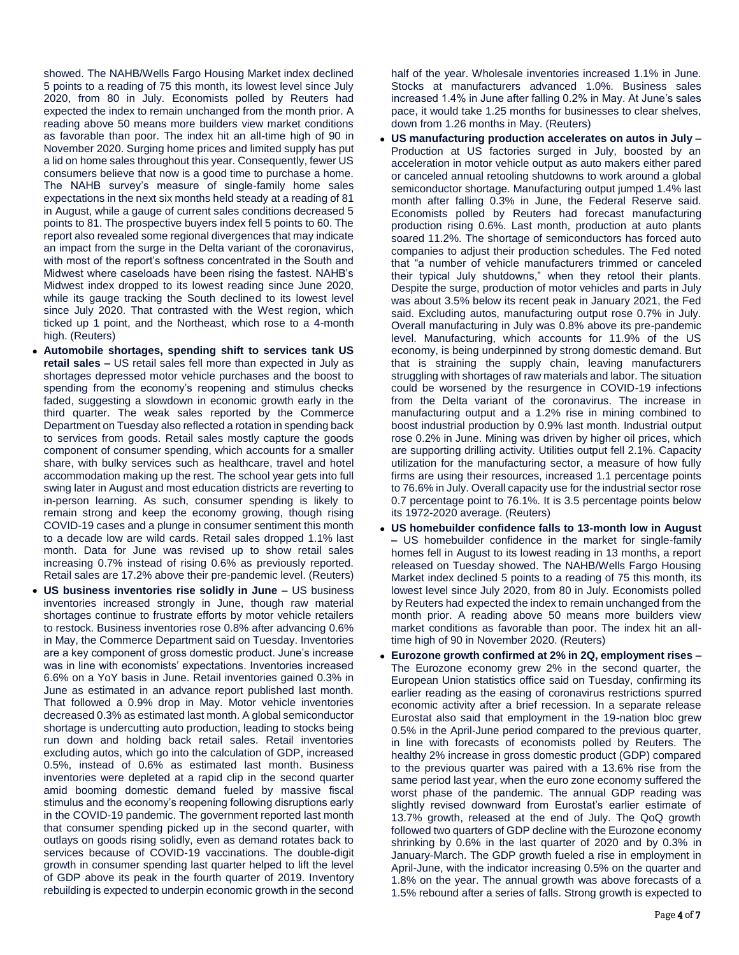showed. The NAHB/Wells Fargo Housing Market index declined 5 points to a reading of 75 this month, its lowest level since July 2020, from 80 in July. Economists polled by Reuters had expected the index to remain unchanged from the month prior. A reading above 50 means more builders view market conditions as favorable than poor. The index hit an all-time high of 90 in November 2020. Surging home prices and limited supply has put a lid on home sales throughout this year. Consequently, fewer US consumers believe that now is a good time to purchase a home. The NAHB survey's measure of single-family home sales expectations in the next six months held steady at a reading of 81 in August, while a gauge of current sales conditions decreased 5 points to 81. The prospective buyers index fell 5 points to 60. The report also revealed some regional divergences that may indicate an impact from the surge in the Delta variant of the coronavirus, with most of the report's softness concentrated in the South and Midwest where caseloads have been rising the fastest. NAHB's Midwest index dropped to its lowest reading since June 2020, while its gauge tracking the South declined to its lowest level since July 2020. That contrasted with the West region, which ticked up 1 point, and the Northeast, which rose to a 4-month high. (Reuters)

- **Automobile shortages, spending shift to services tank US retail sales –** US retail sales fell more than expected in July as shortages depressed motor vehicle purchases and the boost to spending from the economy's reopening and stimulus checks faded, suggesting a slowdown in economic growth early in the third quarter. The weak sales reported by the Commerce Department on Tuesday also reflected a rotation in spending back to services from goods. Retail sales mostly capture the goods component of consumer spending, which accounts for a smaller share, with bulky services such as healthcare, travel and hotel accommodation making up the rest. The school year gets into full swing later in August and most education districts are reverting to in-person learning. As such, consumer spending is likely to remain strong and keep the economy growing, though rising COVID-19 cases and a plunge in consumer sentiment this month to a decade low are wild cards. Retail sales dropped 1.1% last month. Data for June was revised up to show retail sales increasing 0.7% instead of rising 0.6% as previously reported. Retail sales are 17.2% above their pre-pandemic level. (Reuters)
- **US business inventories rise solidly in June –** US business inventories increased strongly in June, though raw material shortages continue to frustrate efforts by motor vehicle retailers to restock. Business inventories rose 0.8% after advancing 0.6% in May, the Commerce Department said on Tuesday. Inventories are a key component of gross domestic product. June's increase was in line with economists' expectations. Inventories increased 6.6% on a YoY basis in June. Retail inventories gained 0.3% in June as estimated in an advance report published last month. That followed a 0.9% drop in May. Motor vehicle inventories decreased 0.3% as estimated last month. A global semiconductor shortage is undercutting auto production, leading to stocks being run down and holding back retail sales. Retail inventories excluding autos, which go into the calculation of GDP, increased 0.5%, instead of 0.6% as estimated last month. Business inventories were depleted at a rapid clip in the second quarter amid booming domestic demand fueled by massive fiscal stimulus and the economy's reopening following disruptions early in the COVID-19 pandemic. The government reported last month that consumer spending picked up in the second quarter, with outlays on goods rising solidly, even as demand rotates back to services because of COVID-19 vaccinations. The double-digit growth in consumer spending last quarter helped to lift the level of GDP above its peak in the fourth quarter of 2019. Inventory rebuilding is expected to underpin economic growth in the second

half of the year. Wholesale inventories increased 1.1% in June. Stocks at manufacturers advanced 1.0%. Business sales increased 1.4% in June after falling 0.2% in May. At June's sales pace, it would take 1.25 months for businesses to clear shelves, down from 1.26 months in May. (Reuters)

- **US manufacturing production accelerates on autos in July –** Production at US factories surged in July, boosted by an acceleration in motor vehicle output as auto makers either pared or canceled annual retooling shutdowns to work around a global semiconductor shortage. Manufacturing output jumped 1.4% last month after falling 0.3% in June, the Federal Reserve said. Economists polled by Reuters had forecast manufacturing production rising 0.6%. Last month, production at auto plants soared 11.2%. The shortage of semiconductors has forced auto companies to adjust their production schedules. The Fed noted that "a number of vehicle manufacturers trimmed or canceled their typical July shutdowns," when they retool their plants. Despite the surge, production of motor vehicles and parts in July was about 3.5% below its recent peak in January 2021, the Fed said. Excluding autos, manufacturing output rose 0.7% in July. Overall manufacturing in July was 0.8% above its pre-pandemic level. Manufacturing, which accounts for 11.9% of the US economy, is being underpinned by strong domestic demand. But that is straining the supply chain, leaving manufacturers struggling with shortages of raw materials and labor. The situation could be worsened by the resurgence in COVID-19 infections from the Delta variant of the coronavirus. The increase in manufacturing output and a 1.2% rise in mining combined to boost industrial production by 0.9% last month. Industrial output rose 0.2% in June. Mining was driven by higher oil prices, which are supporting drilling activity. Utilities output fell 2.1%. Capacity utilization for the manufacturing sector, a measure of how fully firms are using their resources, increased 1.1 percentage points to 76.6% in July. Overall capacity use for the industrial sector rose 0.7 percentage point to 76.1%. It is 3.5 percentage points below its 1972-2020 average. (Reuters)
- **US homebuilder confidence falls to 13-month low in August –** US homebuilder confidence in the market for single-family homes fell in August to its lowest reading in 13 months, a report released on Tuesday showed. The NAHB/Wells Fargo Housing Market index declined 5 points to a reading of 75 this month, its lowest level since July 2020, from 80 in July. Economists polled by Reuters had expected the index to remain unchanged from the month prior. A reading above 50 means more builders view market conditions as favorable than poor. The index hit an alltime high of 90 in November 2020. (Reuters)
- **Eurozone growth confirmed at 2% in 2Q, employment rises –** The Eurozone economy grew 2% in the second quarter, the European Union statistics office said on Tuesday, confirming its earlier reading as the easing of coronavirus restrictions spurred economic activity after a brief recession. In a separate release Eurostat also said that employment in the 19-nation bloc grew 0.5% in the April-June period compared to the previous quarter, in line with forecasts of economists polled by Reuters. The healthy 2% increase in gross domestic product (GDP) compared to the previous quarter was paired with a 13.6% rise from the same period last year, when the euro zone economy suffered the worst phase of the pandemic. The annual GDP reading was slightly revised downward from Eurostat's earlier estimate of 13.7% growth, released at the end of July. The QoQ growth followed two quarters of GDP decline with the Eurozone economy shrinking by 0.6% in the last quarter of 2020 and by 0.3% in January-March. The GDP growth fueled a rise in employment in April-June, with the indicator increasing 0.5% on the quarter and 1.8% on the year. The annual growth was above forecasts of a 1.5% rebound after a series of falls. Strong growth is expected to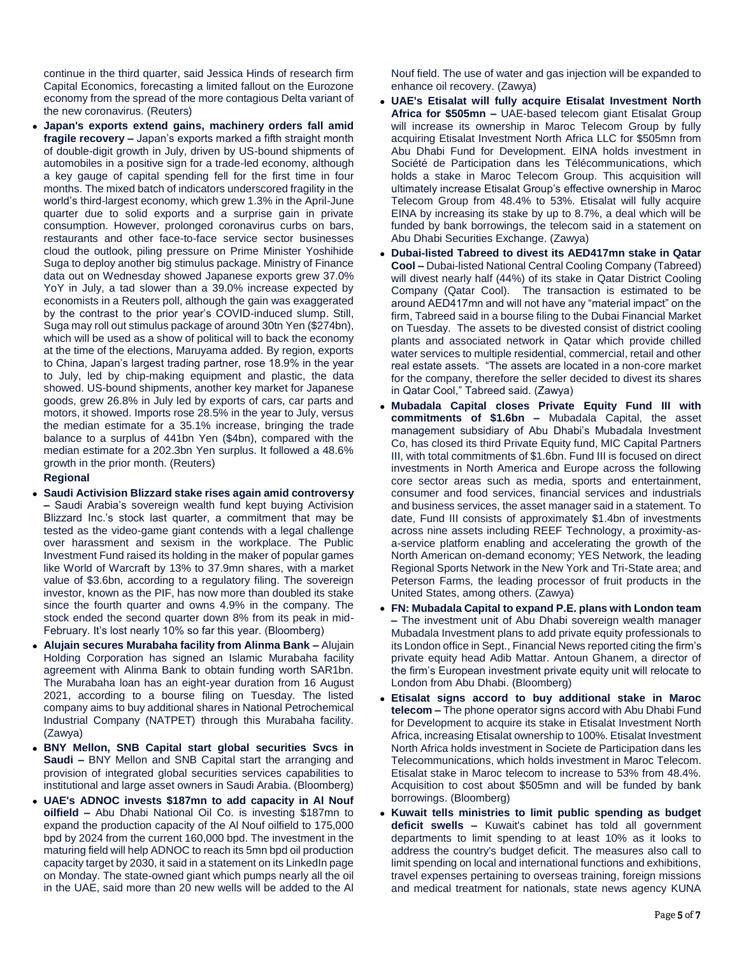continue in the third quarter, said Jessica Hinds of research firm Capital Economics, forecasting a limited fallout on the Eurozone economy from the spread of the more contagious Delta variant of the new coronavirus. (Reuters)

 **Japan's exports extend gains, machinery orders fall amid fragile recovery –** Japan's exports marked a fifth straight month of double-digit growth in July, driven by US-bound shipments of automobiles in a positive sign for a trade-led economy, although a key gauge of capital spending fell for the first time in four months. The mixed batch of indicators underscored fragility in the world's third-largest economy, which grew 1.3% in the April-June quarter due to solid exports and a surprise gain in private consumption. However, prolonged coronavirus curbs on bars, restaurants and other face-to-face service sector businesses cloud the outlook, piling pressure on Prime Minister Yoshihide Suga to deploy another big stimulus package. Ministry of Finance data out on Wednesday showed Japanese exports grew 37.0% YoY in July, a tad slower than a 39.0% increase expected by economists in a Reuters poll, although the gain was exaggerated by the contrast to the prior year's COVID-induced slump. Still, Suga may roll out stimulus package of around 30tn Yen (\$274bn), which will be used as a show of political will to back the economy at the time of the elections, Maruyama added. By region, exports to China, Japan's largest trading partner, rose 18.9% in the year to July, led by chip-making equipment and plastic, the data showed. US-bound shipments, another key market for Japanese goods, grew 26.8% in July led by exports of cars, car parts and motors, it showed. Imports rose 28.5% in the year to July, versus the median estimate for a 35.1% increase, bringing the trade balance to a surplus of 441bn Yen (\$4bn), compared with the median estimate for a 202.3bn Yen surplus. It followed a 48.6% growth in the prior month. (Reuters)

### **Regional**

- **Saudi Activision Blizzard stake rises again amid controversy –** Saudi Arabia's sovereign wealth fund kept buying Activision Blizzard Inc.'s stock last quarter, a commitment that may be tested as the video-game giant contends with a legal challenge over harassment and sexism in the workplace. The Public Investment Fund raised its holding in the maker of popular games like World of Warcraft by 13% to 37.9mn shares, with a market value of \$3.6bn, according to a regulatory filing. The sovereign investor, known as the PIF, has now more than doubled its stake since the fourth quarter and owns 4.9% in the company. The stock ended the second quarter down 8% from its peak in mid-February. It's lost nearly 10% so far this year. (Bloomberg)
- **Alujain secures Murabaha facility from Alinma Bank –** Alujain Holding Corporation has signed an Islamic Murabaha facility agreement with Alinma Bank to obtain funding worth SAR1bn. The Murabaha loan has an eight-year duration from 16 August 2021, according to a bourse filing on Tuesday. The listed company aims to buy additional shares in National Petrochemical Industrial Company (NATPET) through this Murabaha facility. (Zawya)
- **BNY Mellon, SNB Capital start global securities Svcs in Saudi –** BNY Mellon and SNB Capital start the arranging and provision of integrated global securities services capabilities to institutional and large asset owners in Saudi Arabia. (Bloomberg)
- **UAE's ADNOC invests \$187mn to add capacity in Al Nouf oilfield –** Abu Dhabi National Oil Co. is investing \$187mn to expand the production capacity of the Al Nouf oilfield to 175,000 bpd by 2024 from the current 160,000 bpd. The investment in the maturing field will help ADNOC to reach its 5mn bpd oil production capacity target by 2030, it said in a statement on its LinkedIn page on Monday. The state-owned giant which pumps nearly all the oil in the UAE, said more than 20 new wells will be added to the Al

Nouf field. The use of water and gas injection will be expanded to enhance oil recovery. (Zawya)

- **UAE's Etisalat will fully acquire Etisalat Investment North Africa for \$505mn –** UAE-based telecom giant Etisalat Group will increase its ownership in Maroc Telecom Group by fully acquiring Etisalat Investment North Africa LLC for \$505mn from Abu Dhabi Fund for Development. EINA holds investment in Société de Participation dans les Télécommunications, which holds a stake in Maroc Telecom Group. This acquisition will ultimately increase Etisalat Group's effective ownership in Maroc Telecom Group from 48.4% to 53%. Etisalat will fully acquire EINA by increasing its stake by up to 8.7%, a deal which will be funded by bank borrowings, the telecom said in a statement on Abu Dhabi Securities Exchange. (Zawya)
- **Dubai-listed Tabreed to divest its AED417mn stake in Qatar Cool –** Dubai-listed National Central Cooling Company (Tabreed) will divest nearly half (44%) of its stake in Qatar District Cooling Company (Qatar Cool). The transaction is estimated to be around AED417mn and will not have any "material impact" on the firm, Tabreed said in a bourse filing to the Dubai Financial Market on Tuesday. The assets to be divested consist of district cooling plants and associated network in Qatar which provide chilled water services to multiple residential, commercial, retail and other real estate assets. "The assets are located in a non-core market for the company, therefore the seller decided to divest its shares in Qatar Cool," Tabreed said. (Zawya)
- **Mubadala Capital closes Private Equity Fund III with commitments of \$1.6bn –** Mubadala Capital, the asset management subsidiary of Abu Dhabi's Mubadala Investment Co, has closed its third Private Equity fund, MIC Capital Partners III, with total commitments of \$1.6bn. Fund III is focused on direct investments in North America and Europe across the following core sector areas such as media, sports and entertainment, consumer and food services, financial services and industrials and business services, the asset manager said in a statement. To date, Fund III consists of approximately \$1.4bn of investments across nine assets including REEF Technology, a proximity-asa-service platform enabling and accelerating the growth of the North American on-demand economy; YES Network, the leading Regional Sports Network in the New York and Tri-State area; and Peterson Farms, the leading processor of fruit products in the United States, among others. (Zawya)
- **FN: Mubadala Capital to expand P.E. plans with London team –** The investment unit of Abu Dhabi sovereign wealth manager Mubadala Investment plans to add private equity professionals to its London office in Sept., Financial News reported citing the firm's private equity head Adib Mattar. Antoun Ghanem, a director of the firm's European investment private equity unit will relocate to London from Abu Dhabi. (Bloomberg)
- **Etisalat signs accord to buy additional stake in Maroc telecom –** The phone operator signs accord with Abu Dhabi Fund for Development to acquire its stake in Etisalat Investment North Africa, increasing Etisalat ownership to 100%. Etisalat Investment North Africa holds investment in Societe de Participation dans les Telecommunications, which holds investment in Maroc Telecom. Etisalat stake in Maroc telecom to increase to 53% from 48.4%. Acquisition to cost about \$505mn and will be funded by bank borrowings. (Bloomberg)
- **Kuwait tells ministries to limit public spending as budget deficit swells –** Kuwait's cabinet has told all government departments to limit spending to at least 10% as it looks to address the country's budget deficit. The measures also call to limit spending on local and international functions and exhibitions, travel expenses pertaining to overseas training, foreign missions and medical treatment for nationals, state news agency KUNA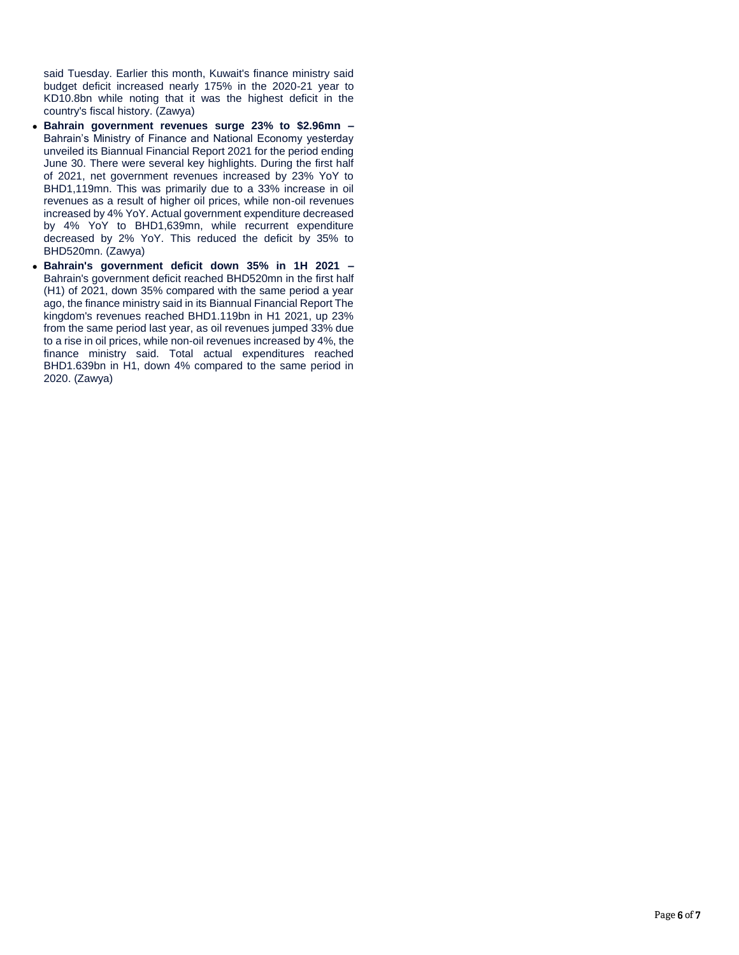said Tuesday. Earlier this month, Kuwait's finance ministry said budget deficit increased nearly 175% in the 2020-21 year to KD10.8bn while noting that it was the highest deficit in the country's fiscal history. (Zawya)

- **Bahrain government revenues surge 23% to \$2.96mn –** Bahrain's Ministry of Finance and National Economy yesterday unveiled its Biannual Financial Report 2021 for the period ending June 30. There were several key highlights. During the first half of 2021, net government revenues increased by 23% YoY to BHD1,119mn. This was primarily due to a 33% increase in oil revenues as a result of higher oil prices, while non-oil revenues increased by 4% YoY. Actual government expenditure decreased by 4% YoY to BHD1,639mn, while recurrent expenditure decreased by 2% YoY. This reduced the deficit by 35% to BHD520mn. (Zawya)
- **Bahrain's government deficit down 35% in 1H 2021 –** Bahrain's government deficit reached BHD520mn in the first half (H1) of 2021, down 35% compared with the same period a year ago, the finance ministry said in its Biannual Financial Report The kingdom's revenues reached BHD1.119bn in H1 2021, up 23% from the same period last year, as oil revenues jumped 33% due to a rise in oil prices, while non-oil revenues increased by 4%, the finance ministry said. Total actual expenditures reached BHD1.639bn in H1, down 4% compared to the same period in 2020. (Zawya)